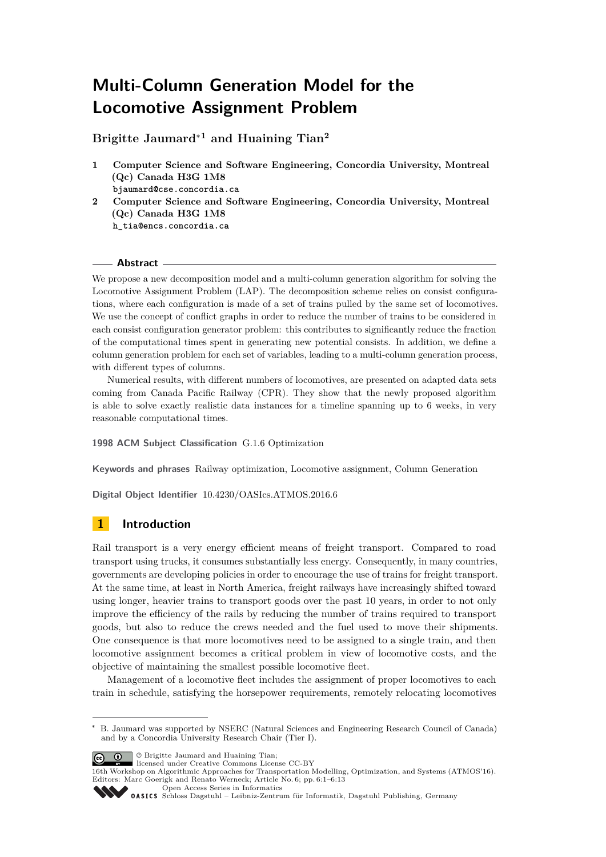# **Multi-Column Generation Model for the Locomotive Assignment Problem**

**Brigitte Jaumard**<sup>∗</sup>**<sup>1</sup> and Huaining Tian<sup>2</sup>**

- **1 Computer Science and Software Engineering, Concordia University, Montreal (Qc) Canada H3G 1M8 bjaumard@cse.concordia.ca**
- **2 Computer Science and Software Engineering, Concordia University, Montreal (Qc) Canada H3G 1M8 h\_tia@encs.concordia.ca**

### **Abstract**

We propose a new decomposition model and a multi-column generation algorithm for solving the Locomotive Assignment Problem (LAP). The decomposition scheme relies on consist configurations, where each configuration is made of a set of trains pulled by the same set of locomotives. We use the concept of conflict graphs in order to reduce the number of trains to be considered in each consist configuration generator problem: this contributes to significantly reduce the fraction of the computational times spent in generating new potential consists. In addition, we define a column generation problem for each set of variables, leading to a multi-column generation process, with different types of columns.

Numerical results, with different numbers of locomotives, are presented on adapted data sets coming from Canada Pacific Railway (CPR). They show that the newly proposed algorithm is able to solve exactly realistic data instances for a timeline spanning up to 6 weeks, in very reasonable computational times.

**1998 ACM Subject Classification** G.1.6 Optimization

**Keywords and phrases** Railway optimization, Locomotive assignment, Column Generation

**Digital Object Identifier** [10.4230/OASIcs.ATMOS.2016.6](http://dx.doi.org/10.4230/OASIcs.ATMOS.2016.6)

# **1 Introduction**

Rail transport is a very energy efficient means of freight transport. Compared to road transport using trucks, it consumes substantially less energy. Consequently, in many countries, governments are developing policies in order to encourage the use of trains for freight transport. At the same time, at least in North America, freight railways have increasingly shifted toward using longer, heavier trains to transport goods over the past 10 years, in order to not only improve the efficiency of the rails by reducing the number of trains required to transport goods, but also to reduce the crews needed and the fuel used to move their shipments. One consequence is that more locomotives need to be assigned to a single train, and then locomotive assignment becomes a critical problem in view of locomotive costs, and the objective of maintaining the smallest possible locomotive fleet.

Management of a locomotive fleet includes the assignment of proper locomotives to each train in schedule, satisfying the horsepower requirements, remotely relocating locomotives

© Brigitte Jaumard and Huaining Tian; licensed under Creative Commons License CC-BY

16th Workshop on Algorithmic Approaches for Transportation Modelling, Optimization, and Systems (ATMOS'16). Editors: Marc Goerigk and Renato Werneck; Article No. 6; pp. 6:1–6[:13](#page-12-0)

[Open Access Series in Informatics](http://www.dagstuhl.de/oasics/)

B. Jaumard was supported by NSERC (Natural Sciences and Engineering Research Council of Canada) and by a Concordia University Research Chair (Tier I).

[Schloss Dagstuhl – Leibniz-Zentrum für Informatik, Dagstuhl Publishing, Germany](http://www.dagstuhl.de)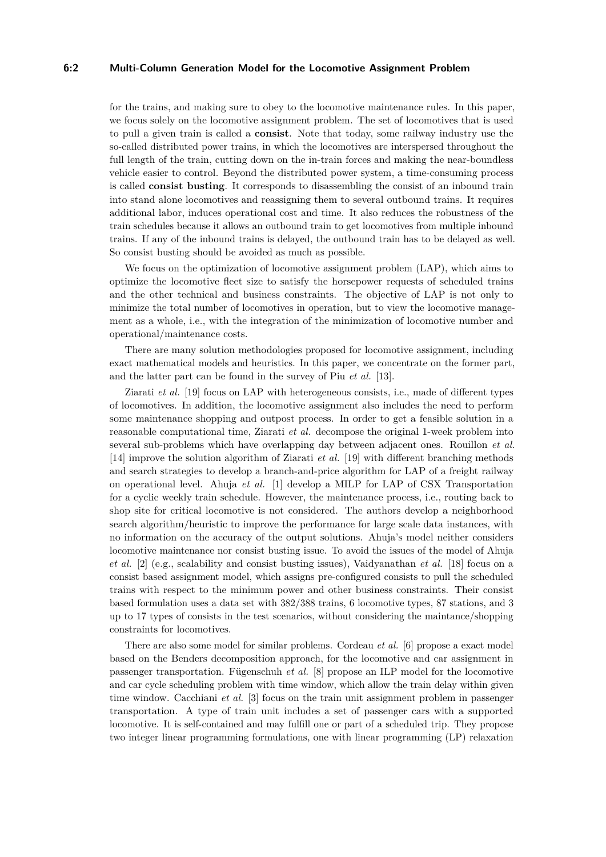### **6:2 Multi-Column Generation Model for the Locomotive Assignment Problem**

for the trains, and making sure to obey to the locomotive maintenance rules. In this paper, we focus solely on the locomotive assignment problem. The set of locomotives that is used to pull a given train is called a **consist**. Note that today, some railway industry use the so-called distributed power trains, in which the locomotives are interspersed throughout the full length of the train, cutting down on the in-train forces and making the near-boundless vehicle easier to control. Beyond the distributed power system, a time-consuming process is called **consist busting**. It corresponds to disassembling the consist of an inbound train into stand alone locomotives and reassigning them to several outbound trains. It requires additional labor, induces operational cost and time. It also reduces the robustness of the train schedules because it allows an outbound train to get locomotives from multiple inbound trains. If any of the inbound trains is delayed, the outbound train has to be delayed as well. So consist busting should be avoided as much as possible.

We focus on the optimization of locomotive assignment problem (LAP), which aims to optimize the locomotive fleet size to satisfy the horsepower requests of scheduled trains and the other technical and business constraints. The objective of LAP is not only to minimize the total number of locomotives in operation, but to view the locomotive management as a whole, i.e., with the integration of the minimization of locomotive number and operational/maintenance costs.

There are many solution methodologies proposed for locomotive assignment, including exact mathematical models and heuristics. In this paper, we concentrate on the former part, and the latter part can be found in the survey of Piu *et al.* [\[13\]](#page-12-1).

Ziarati *et al.* [\[19\]](#page-12-2) focus on LAP with heterogeneous consists, i.e., made of different types of locomotives. In addition, the locomotive assignment also includes the need to perform some maintenance shopping and outpost process. In order to get a feasible solution in a reasonable computational time, Ziarati *et al.* decompose the original 1-week problem into several sub-problems which have overlapping day between adjacent ones. Rouillon *et al.* [\[14\]](#page-12-3) improve the solution algorithm of Ziarati *et al.* [\[19\]](#page-12-2) with different branching methods and search strategies to develop a branch-and-price algorithm for LAP of a freight railway on operational level. Ahuja *et al.* [\[1\]](#page-11-0) develop a MILP for LAP of CSX Transportation for a cyclic weekly train schedule. However, the maintenance process, i.e., routing back to shop site for critical locomotive is not considered. The authors develop a neighborhood search algorithm/heuristic to improve the performance for large scale data instances, with no information on the accuracy of the output solutions. Ahuja's model neither considers locomotive maintenance nor consist busting issue. To avoid the issues of the model of Ahuja *et al.* [\[2\]](#page-11-1) (e.g., scalability and consist busting issues), Vaidyanathan *et al.* [\[18\]](#page-12-4) focus on a consist based assignment model, which assigns pre-configured consists to pull the scheduled trains with respect to the minimum power and other business constraints. Their consist based formulation uses a data set with 382/388 trains, 6 locomotive types, 87 stations, and 3 up to 17 types of consists in the test scenarios, without considering the maintance/shopping constraints for locomotives.

There are also some model for similar problems. Cordeau *et al.* [\[6\]](#page-11-2) propose a exact model based on the Benders decomposition approach, for the locomotive and car assignment in passenger transportation. Fügenschuh *et al.* [\[8\]](#page-12-5) propose an ILP model for the locomotive and car cycle scheduling problem with time window, which allow the train delay within given time window. Cacchiani *et al.* [\[3\]](#page-11-3) focus on the train unit assignment problem in passenger transportation. A type of train unit includes a set of passenger cars with a supported locomotive. It is self-contained and may fulfill one or part of a scheduled trip. They propose two integer linear programming formulations, one with linear programming (LP) relaxation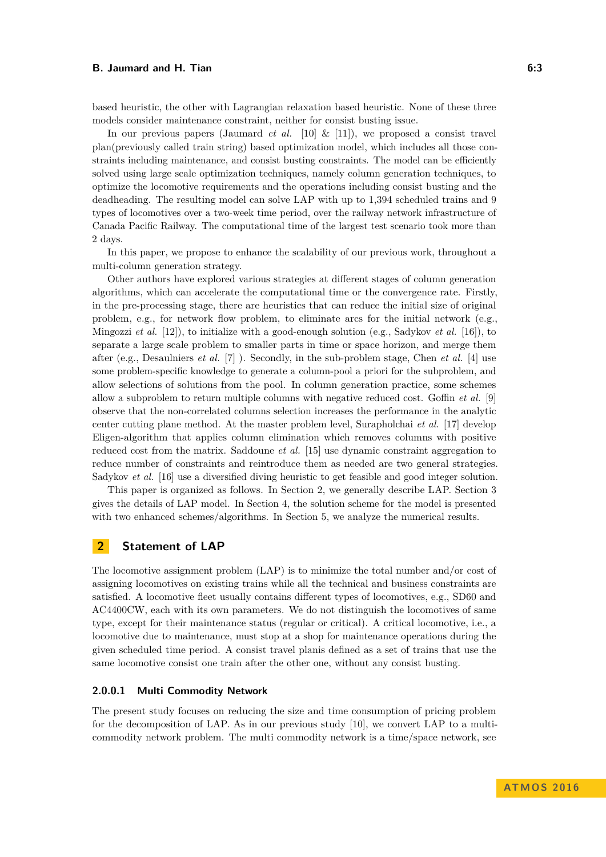based heuristic, the other with Lagrangian relaxation based heuristic. None of these three models consider maintenance constraint, neither for consist busting issue.

In our previous papers (Jaumard *et al.* [\[10\]](#page-12-6) & [\[11\]](#page-12-7)), we proposed a consist travel plan(previously called train string) based optimization model, which includes all those constraints including maintenance, and consist busting constraints. The model can be efficiently solved using large scale optimization techniques, namely column generation techniques, to optimize the locomotive requirements and the operations including consist busting and the deadheading. The resulting model can solve LAP with up to 1,394 scheduled trains and 9 types of locomotives over a two-week time period, over the railway network infrastructure of Canada Pacific Railway. The computational time of the largest test scenario took more than 2 days.

In this paper, we propose to enhance the scalability of our previous work, throughout a multi-column generation strategy.

Other authors have explored various strategies at different stages of column generation algorithms, which can accelerate the computational time or the convergence rate. Firstly, in the pre-processing stage, there are heuristics that can reduce the initial size of original problem, e.g., for network flow problem, to eliminate arcs for the initial network (e.g., Mingozzi *et al.* [\[12\]](#page-12-8)), to initialize with a good-enough solution (e.g., Sadykov *et al.* [\[16\]](#page-12-9)), to separate a large scale problem to smaller parts in time or space horizon, and merge them after (e.g., Desaulniers *et al.* [\[7\]](#page-12-10) ). Secondly, in the sub-problem stage, Chen *et al.* [\[4\]](#page-11-4) use some problem-specific knowledge to generate a column-pool a priori for the subproblem, and allow selections of solutions from the pool. In column generation practice, some schemes allow a subproblem to return multiple columns with negative reduced cost. Goffin *et al.* [\[9\]](#page-12-11) observe that the non-correlated columns selection increases the performance in the analytic center cutting plane method. At the master problem level, Surapholchai *et al.* [\[17\]](#page-12-12) develop Eligen-algorithm that applies column elimination which removes columns with positive reduced cost from the matrix. Saddoune *et al.* [\[15\]](#page-12-13) use dynamic constraint aggregation to reduce number of constraints and reintroduce them as needed are two general strategies. Sadykov *et al.* [\[16\]](#page-12-9) use a diversified diving heuristic to get feasible and good integer solution.

This paper is organized as follows. In Section [2,](#page-2-0) we generally describe LAP. Section [3](#page-3-0) gives the details of LAP model. In Section [4,](#page-6-0) the solution scheme for the model is presented with two enhanced schemes/algorithms. In Section [5,](#page-9-0) we analyze the numerical results.

### <span id="page-2-0"></span>**2 Statement of LAP**

The locomotive assignment problem (LAP) is to minimize the total number and/or cost of assigning locomotives on existing trains while all the technical and business constraints are satisfied. A locomotive fleet usually contains different types of locomotives, e.g., SD60 and AC4400CW, each with its own parameters. We do not distinguish the locomotives of same type, except for their maintenance status (regular or critical). A critical locomotive, i.e., a locomotive due to maintenance, must stop at a shop for maintenance operations during the given scheduled time period. A consist travel planis defined as a set of trains that use the same locomotive consist one train after the other one, without any consist busting.

### **2.0.0.1 Multi Commodity Network**

The present study focuses on reducing the size and time consumption of pricing problem for the decomposition of LAP. As in our previous study [\[10\]](#page-12-6), we convert LAP to a multicommodity network problem. The multi commodity network is a time/space network, see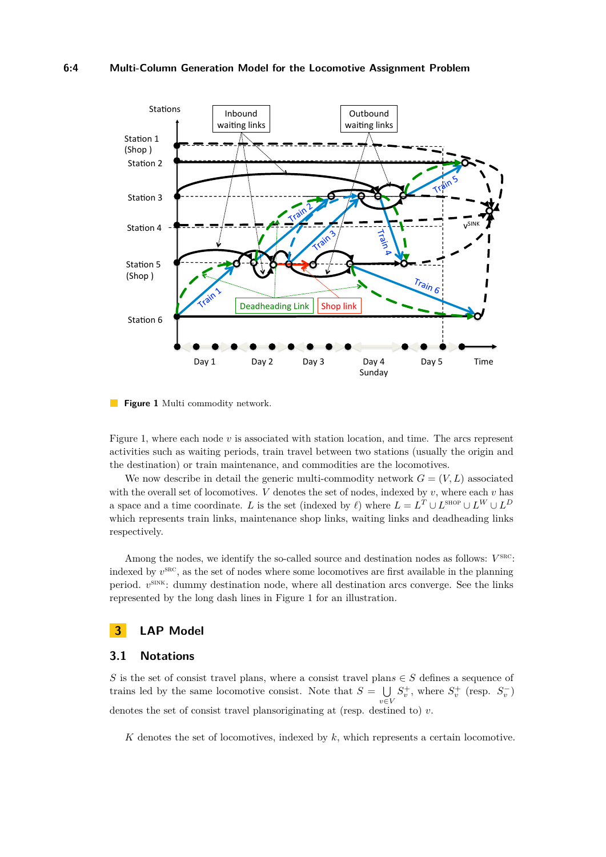#### **6:4 Multi-Column Generation Model for the Locomotive Assignment Problem**

<span id="page-3-1"></span>

**Figure 1** Multi commodity network.

Figure [1,](#page-3-1) where each node *v* is associated with station location, and time. The arcs represent activities such as waiting periods, train travel between two stations (usually the origin and the destination) or train maintenance, and commodities are the locomotives.

We now describe in detail the generic multi-commodity network  $G = (V, L)$  associated with the overall set of locomotives. *V* denotes the set of nodes, indexed by  $v$ , where each  $v$  has a space and a time coordinate. *L* is the set (indexed by  $\ell$ ) where  $L = L^T \cup L^{\text{SHOP}} \cup L^W \cup L^D$ which represents train links, maintenance shop links, waiting links and deadheading links respectively.

Among the nodes, we identify the so-called source and destination nodes as follows:  $V^{\text{src}}$ : indexed by  $v^{\text{SRC}}$ , as the set of nodes where some locomotives are first available in the planning period.  $v^{\text{SINK}}$ : dummy destination node, where all destination arcs converge. See the links represented by the long dash lines in Figure [1](#page-3-1) for an illustration.

# <span id="page-3-0"></span>**3 LAP Model**

# **3.1 Notations**

*S* is the set of consist travel plans, where a consist travel plan $s \in S$  defines a sequence of trains led by the same locomotive consist. Note that  $S = \bigcup$ *v*∈*V*  $S_v^+$ , where  $S_v^+$  (resp.  $S_v^-$ ) denotes the set of consist travel plansoriginating at (resp. destined to) *v*.

*K* denotes the set of locomotives, indexed by *k*, which represents a certain locomotive.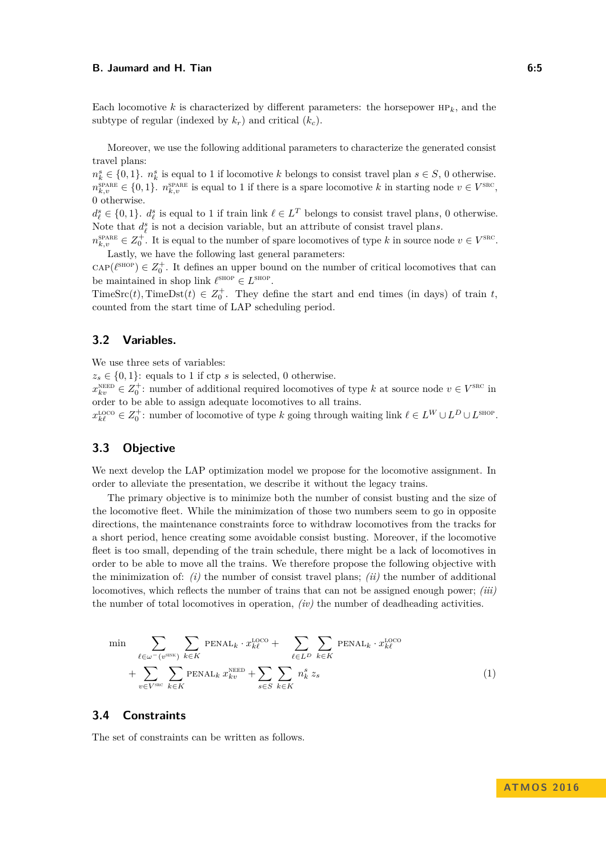Each locomotive  $k$  is characterized by different parameters: the horsepower  $HP_k$ , and the subtype of regular (indexed by  $k_r$ ) and critical  $(k_c)$ .

Moreover, we use the following additional parameters to characterize the generated consist travel plans:

 $n_k^s \in \{0, 1\}$ .  $n_k^s$  is equal to 1 if locomotive *k* belongs to consist travel plan  $s \in S$ , 0 otherwise.  $n_{k,v}^{\text{SPARE}} \in \{0,1\}$ .  $n_{k,v}^{\text{SPARE}}$  is equal to 1 if there is a spare locomotive *k* in starting node  $v \in V^{\text{SRC}}$ , 0 otherwise.

 $d_{\ell}^s \in \{0,1\}$ .  $d_{\ell}^s$  is equal to 1 if train link  $\ell \in L^T$  belongs to consist travel plans, 0 otherwise. Note that  $d_{\ell}^{s}$  is not a decision variable, but an attribute of consist travel plans.

 $n_{k,v}^{\text{space}} \in Z_0^+$ . It is equal to the number of spare locomotives of type *k* in source node  $v \in V^{\text{src}}$ . Lastly, we have the following last general parameters:

 $\text{cap}(\ell^{\text{SHOP}}) \in Z_0^+$ . It defines an upper bound on the number of critical locomotives that can be maintained in shop link  $\ell^{\text{SHOP}} \in L^{\text{SHOP}}$ .

TimeSrc(*t*), TimeDst(*t*)  $\in Z_0^+$ . They define the start and end times (in days) of train *t*, counted from the start time of LAP scheduling period.

# **3.2 Variables.**

We use three sets of variables:

 $z_s \in \{0, 1\}$ : equals to 1 if ctp *s* is selected, 0 otherwise.

 $x_{kv}^{\text{NEED}} \in Z_0^+$ : number of additional required locomotives of type *k* at source node  $v \in V^{\text{SRC}}$  in order to be able to assign adequate locomotives to all trains.

 $x_{k\ell}^{\text{LOCO}} \in Z_0^+$ : number of locomotive of type *k* going through waiting link  $\ell \in L^W \cup L^D \cup L^{\text{SHOP}}$ .

# **3.3 Objective**

We next develop the LAP optimization model we propose for the locomotive assignment. In order to alleviate the presentation, we describe it without the legacy trains.

The primary objective is to minimize both the number of consist busting and the size of the locomotive fleet. While the minimization of those two numbers seem to go in opposite directions, the maintenance constraints force to withdraw locomotives from the tracks for a short period, hence creating some avoidable consist busting. Moreover, if the locomotive fleet is too small, depending of the train schedule, there might be a lack of locomotives in order to be able to move all the trains. We therefore propose the following objective with the minimization of: *(i)* the number of consist travel plans; *(ii)* the number of additional locomotives, which reflects the number of trains that can not be assigned enough power; *(iii)* the number of total locomotives in operation, *(iv)* the number of deadheading activities.

$$
\min \sum_{\ell \in \omega^{-}(v^{\text{snk}})} \sum_{k \in K} \text{PERAL}_{k} \cdot x^{\text{LOCO}}_{k\ell} + \sum_{\ell \in L^{D}} \sum_{k \in K} \text{PERAL}_{k} \cdot x^{\text{LOCO}}_{k\ell} + \sum_{v \in V^{\text{snc}}} \sum_{k \in K} \text{PERAL}_{k} x^{\text{NECD}}_{kv} + \sum_{s \in S} \sum_{k \in K} n^s_{k} z_{s} \tag{1}
$$

### **3.4 Constraints**

The set of constraints can be written as follows.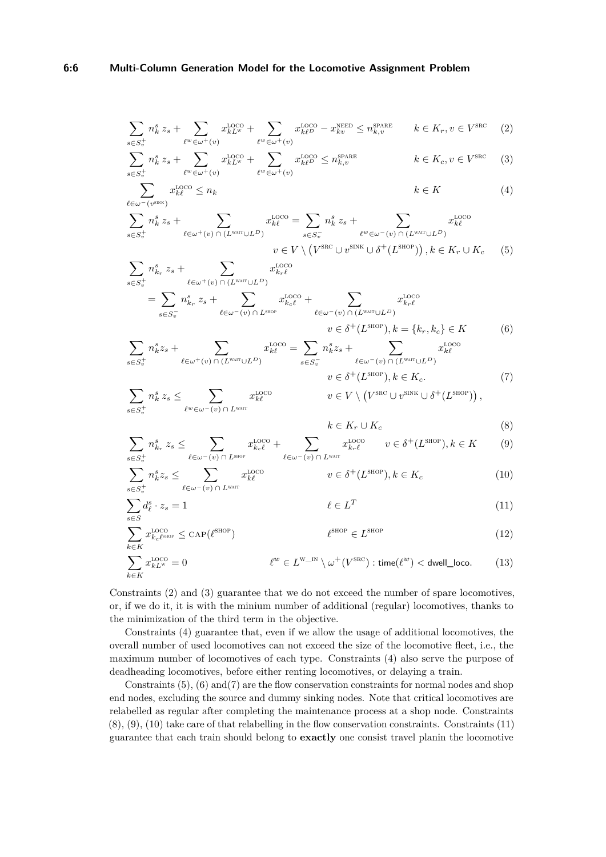$$
\sum_{s \in S_v^+} n_k^s z_s + \sum_{\ell^w \in \omega^+(v)} x_{kL^w}^{\text{LOCO}} + \sum_{\ell^w \in \omega^+(v)} x_{k\ell^D}^{\text{LOCO}} - x_{kv}^{\text{NEED}} \le n_{k,v}^{\text{SPARE}} \qquad k \in K_r, v \in V^{\text{SRC}} \tag{2}
$$

$$
\sum_{s \in S_v^+} n_k^s z_s + \sum_{\ell^w \in \omega^+(v)} x_{kL^w}^{\text{LOCO}} + \sum_{\ell^w \in \omega^+(v)} x_{k\ell^D}^{\text{LOCO}} \le n_{k,v}^{\text{spARE}} \qquad k \in K_c, v \in V^{\text{SRC}} \tag{3}
$$

$$
\sum_{\ell \in \omega^{-}(v^{\text{SINK}})} x^{\text{LOCO}}_{k} \le n_k \qquad k \in K \tag{4}
$$

$$
\sum_{s \in S_v^+} n_k^s z_s + \sum_{\ell \in \omega^+(v) \cap (L^{\text{wart}} \cup L^D)} x_{k\ell}^{\text{LOCO}} = \sum_{s \in S_v^-} n_k^s z_s + \sum_{\ell^w \in \omega^-(v) \cap (L^{\text{wart}} \cup L^D)} x_{k\ell}^{\text{LOCO}}
$$

$$
v \in V \setminus (V^{\text{SRC}} \cup v^{\text{SINK}} \cup \delta^+(L^{\text{SHOP}})), k \in K_r \cup K_c \tag{5}
$$

$$
\sum_{s \in S_v^+} n_{k_r}^s z_s + \sum_{\ell \in \omega^+(v) \cap (L^{\text{wart}} \cup L^D)} x_{k_r \ell}^{\text{LOCO}} \n= \sum_{s \in S_v^-} n_{k_r}^s z_s + \sum_{\ell \in \omega^-(v) \cap L^{\text{supp}}} x_{k_c \ell}^{\text{LOCO}} + \sum_{\ell \in \omega^-(v) \cap (L^{\text{wart}} \cup L^D)} x_{k_r \ell}^{\text{LOCO}} \n= \sum_{s \in S_v^+} n_{k}^s z_s + \sum_{\ell \in \omega^+(v) \cap (L^{\text{wart}} \cup L^D)} x_{k\ell}^{\text{LOCO}} = \sum_{s \in S_v^-} n_{k}^s z_s + \sum_{\ell \in \omega^-(v) \cap (L^{\text{wart}} \cup L^D)} x_{k\ell}^{\text{LOCO}} \n\tag{6}
$$

$$
v \in \delta^+(L^{\text{SHOP}}), k \in K_c.
$$
\n
$$
\sum_{s \in S_v^+} n_k^s z_s \leq \sum_{\ell^w \in \omega^-(v) \cap L^{\text{WAT}}} x_{k\ell}^{\text{LOCO}} \qquad v \in V \setminus (V^{\text{SRC}} \cup v^{\text{SINK}} \cup \delta^+(L^{\text{SHOP}})),
$$
\n
$$
(7)
$$

<span id="page-5-11"></span><span id="page-5-10"></span><span id="page-5-9"></span><span id="page-5-8"></span><span id="page-5-7"></span><span id="page-5-6"></span><span id="page-5-5"></span><span id="page-5-4"></span><span id="page-5-3"></span><span id="page-5-2"></span><span id="page-5-1"></span><span id="page-5-0"></span>
$$
k \in K_r \cup K_c \tag{8}
$$

$$
\sum_{s \in S_v^+} n_{k_r}^s z_s \le \sum_{\ell \in \omega^-(v) \cap L^{\text{sup}}} x_{k_c \ell}^{\text{LOCO}} + \sum_{\ell \in \omega^-(v) \cap L^{\text{warr}}} x_{k_r \ell}^{\text{LOCO}} \qquad v \in \delta^+(L^{\text{SHOP}}), k \in K \tag{9}
$$

$$
\sum_{s \in S_v^+} n_k^s z_s \le \sum_{\ell \in \omega^-(v) \cap L^{\text{warr}}} x_{k\ell}^{\text{LOCO}} \qquad \qquad v \in \delta^+(L^{\text{SHOP}}), k \in K_c \tag{10}
$$

$$
\sum_{s \in S} d_{\ell}^{s} \cdot z_{s} = 1 \qquad \ell \in L^{T} \qquad (11)
$$

$$
\sum_{k \in K} x_{k_c \ell^{\text{SHOP}}}^{\text{LOCO}} \le \text{CAP}(\ell^{\text{SHOP}}) \qquad \ell^{\text{SHOP}} \in L^{\text{SHOP}} \qquad (12)
$$

$$
\sum_{k \in K} x_{kL^{\rm w}}^{\rm LOCO} = 0 \qquad \qquad \ell^w \in L^{\rm w\_IN} \setminus \omega^+(V^{\rm SRC}) : \text{time}(\ell^w) < \text{dwell\_loco.} \tag{13}
$$

Constraints [\(2\)](#page-5-0) and [\(3\)](#page-5-1) guarantee that we do not exceed the number of spare locomotives, or, if we do it, it is with the minium number of additional (regular) locomotives, thanks to the minimization of the third term in the objective.

Constraints [\(4\)](#page-5-2) guarantee that, even if we allow the usage of additional locomotives, the overall number of used locomotives can not exceed the size of the locomotive fleet, i.e., the maximum number of locomotives of each type. Constraints [\(4\)](#page-5-2) also serve the purpose of deadheading locomotives, before either renting locomotives, or delaying a train.

Constraints [\(5\)](#page-5-3), [\(6\)](#page-5-4) and[\(7\)](#page-5-5) are the flow conservation constraints for normal nodes and shop end nodes, excluding the source and dummy sinking nodes. Note that critical locomotives are relabelled as regular after completing the maintenance process at a shop node. Constraints [\(8\)](#page-5-6), [\(9\)](#page-5-7), [\(10\)](#page-5-8) take care of that relabelling in the flow conservation constraints. Constraints [\(11\)](#page-5-9) guarantee that each train should belong to **exactly** one consist travel planin the locomotive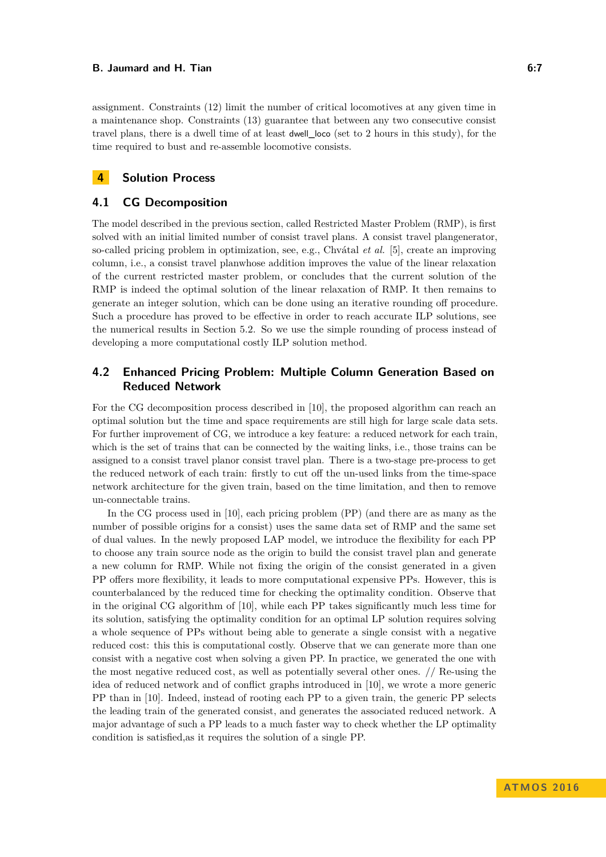assignment. Constraints [\(12\)](#page-5-10) limit the number of critical locomotives at any given time in a maintenance shop. Constraints [\(13\)](#page-5-11) guarantee that between any two consecutive consist travel plans, there is a dwell time of at least dwell\_loco (set to 2 hours in this study), for the time required to bust and re-assemble locomotive consists.

# <span id="page-6-0"></span>**4 Solution Process**

### **4.1 CG Decomposition**

The model described in the previous section, called Restricted Master Problem (RMP), is first solved with an initial limited number of consist travel plans. A consist travel plangenerator, so-called pricing problem in optimization, see, e.g., Chvátal *et al.* [\[5\]](#page-11-5), create an improving column, i.e., a consist travel planwhose addition improves the value of the linear relaxation of the current restricted master problem, or concludes that the current solution of the RMP is indeed the optimal solution of the linear relaxation of RMP. It then remains to generate an integer solution, which can be done using an iterative rounding off procedure. Such a procedure has proved to be effective in order to reach accurate ILP solutions, see the numerical results in Section [5.2.](#page-10-0) So we use the simple rounding of process instead of developing a more computational costly ILP solution method.

# **4.2 Enhanced Pricing Problem: Multiple Column Generation Based on Reduced Network**

For the CG decomposition process described in [\[10\]](#page-12-6), the proposed algorithm can reach an optimal solution but the time and space requirements are still high for large scale data sets. For further improvement of CG, we introduce a key feature: a reduced network for each train, which is the set of trains that can be connected by the waiting links, i.e., those trains can be assigned to a consist travel planor consist travel plan. There is a two-stage pre-process to get the reduced network of each train: firstly to cut off the un-used links from the time-space network architecture for the given train, based on the time limitation, and then to remove un-connectable trains.

In the CG process used in [\[10\]](#page-12-6), each pricing problem (PP) (and there are as many as the number of possible origins for a consist) uses the same data set of RMP and the same set of dual values. In the newly proposed LAP model, we introduce the flexibility for each PP to choose any train source node as the origin to build the consist travel plan and generate a new column for RMP. While not fixing the origin of the consist generated in a given PP offers more flexibility, it leads to more computational expensive PPs. However, this is counterbalanced by the reduced time for checking the optimality condition. Observe that in the original CG algorithm of [\[10\]](#page-12-6), while each PP takes significantly much less time for its solution, satisfying the optimality condition for an optimal LP solution requires solving a whole sequence of PPs without being able to generate a single consist with a negative reduced cost: this this is computational costly. Observe that we can generate more than one consist with a negative cost when solving a given PP. In practice, we generated the one with the most negative reduced cost, as well as potentially several other ones. // Re-using the idea of reduced network and of conflict graphs introduced in [\[10\]](#page-12-6), we wrote a more generic PP than in [\[10\]](#page-12-6). Indeed, instead of rooting each PP to a given train, the generic PP selects the leading train of the generated consist, and generates the associated reduced network. A major advantage of such a PP leads to a much faster way to check whether the LP optimality condition is satisfied,as it requires the solution of a single PP.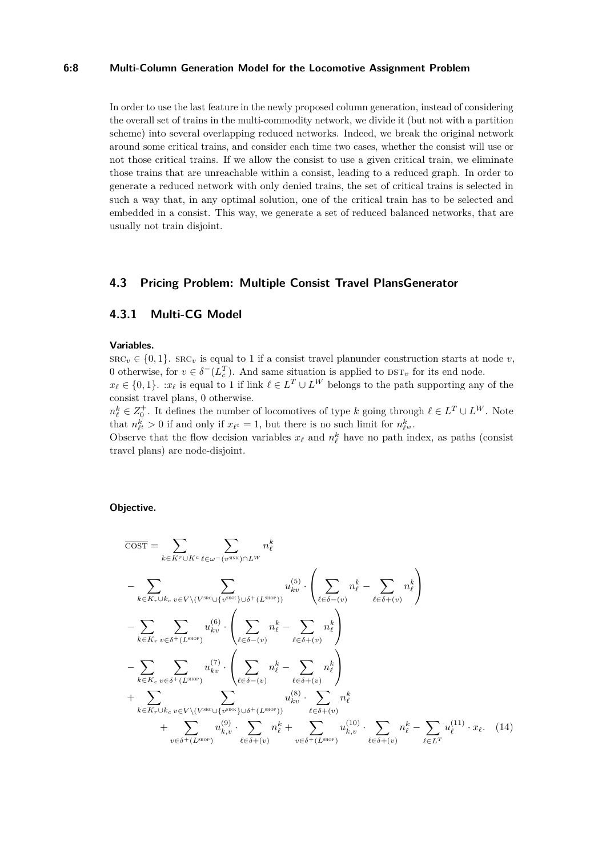### **6:8 Multi-Column Generation Model for the Locomotive Assignment Problem**

In order to use the last feature in the newly proposed column generation, instead of considering the overall set of trains in the multi-commodity network, we divide it (but not with a partition scheme) into several overlapping reduced networks. Indeed, we break the original network around some critical trains, and consider each time two cases, whether the consist will use or not those critical trains. If we allow the consist to use a given critical train, we eliminate those trains that are unreachable within a consist, leading to a reduced graph. In order to generate a reduced network with only denied trains, the set of critical trains is selected in such a way that, in any optimal solution, one of the critical train has to be selected and embedded in a consist. This way, we generate a set of reduced balanced networks, that are usually not train disjoint.

# **4.3 Pricing Problem: Multiple Consist Travel PlansGenerator**

# **4.3.1 Multi-CG Model**

#### **Variables.**

 $\text{SRC}_v \in \{0, 1\}$ .  $\text{SRC}_v$  is equal to 1 if a consist travel planunder construction starts at node *v*, 0 otherwise, for  $v \in \delta^{-1}(L_c^T)$ . And same situation is applied to  $\text{DST}_v$  for its end node.

 $x_{\ell} \in \{0,1\}$ . : $x_{\ell}$  is equal to 1 if link  $\ell \in L^{T} \cup L^{W}$  belongs to the path supporting any of the consist travel plans, 0 otherwise.

 $n_{\ell}^{k} \in Z_{0}^{+}$ . It defines the number of locomotives of type *k* going through  $\ell \in L^{T} \cup L^{W}$ . Note that  $n_{\ell^t}^k > 0$  if and only if  $x_{\ell^t} = 1$ , but there is no such limit for  $n_{\ell^w}^k$ .

Observe that the flow decision variables  $x_\ell$  and  $n_\ell^k$  have no path index, as paths (consist travel plans) are node-disjoint.

### **Objective.**

$$
\overline{\text{COST}} = \sum_{k \in Kr \cup K^c} \sum_{\ell \in \omega^{-}(v^{\text{SINK}}) \cap L^W} n_{\ell}^k
$$
\n
$$
- \sum_{k \in K_r \cup k_c} \sum_{v \in V \setminus (V^{\text{SIC}} \cup \{v^{\text{SINK}}\} \cup \delta^{+}(L^{\text{SIOP}}))} u_{kv}^{(5)} \cdot \left( \sum_{\ell \in \delta - (v)} n_{\ell}^k - \sum_{\ell \in \delta + (v)} n_{\ell}^k \right)
$$
\n
$$
- \sum_{k \in K_r} \sum_{v \in \delta^{+}(L^{\text{SIOP}})} u_{kv}^{(6)} \cdot \left( \sum_{\ell \in \delta - (v)} n_{\ell}^k - \sum_{\ell \in \delta + (v)} n_{\ell}^k \right)
$$
\n
$$
- \sum_{k \in K_c} \sum_{v \in \delta^{+}(L^{\text{SIOP}})} u_{kv}^{(7)} \cdot \left( \sum_{\ell \in \delta - (v)} n_{\ell}^k - \sum_{\ell \in \delta + (v)} n_{\ell}^k \right)
$$
\n
$$
+ \sum_{k \in K_r \cup k_c} \sum_{v \in V \setminus (V^{\text{SIC}} \cup \{v^{\text{SINK}}\} \cup \delta^{+}(L^{\text{SIOP}}))} u_{kv}^{(8)} \cdot \sum_{\ell \in \delta + (v)} n_{\ell}^k
$$
\n
$$
+ \sum_{v \in \delta^{+}(L^{\text{SIOP}})} u_{k,v}^{(9)} \cdot \sum_{\ell \in \delta + (v)} n_{\ell}^k + \sum_{v \in \delta^{+}(L^{\text{SIOP}})} u_{k,v}^{(10)} \cdot \sum_{\ell \in \delta + (v)} n_{\ell}^k - \sum_{\ell \in L^T} u_{\ell}^{(11)} \cdot x_{\ell}. \quad (14)
$$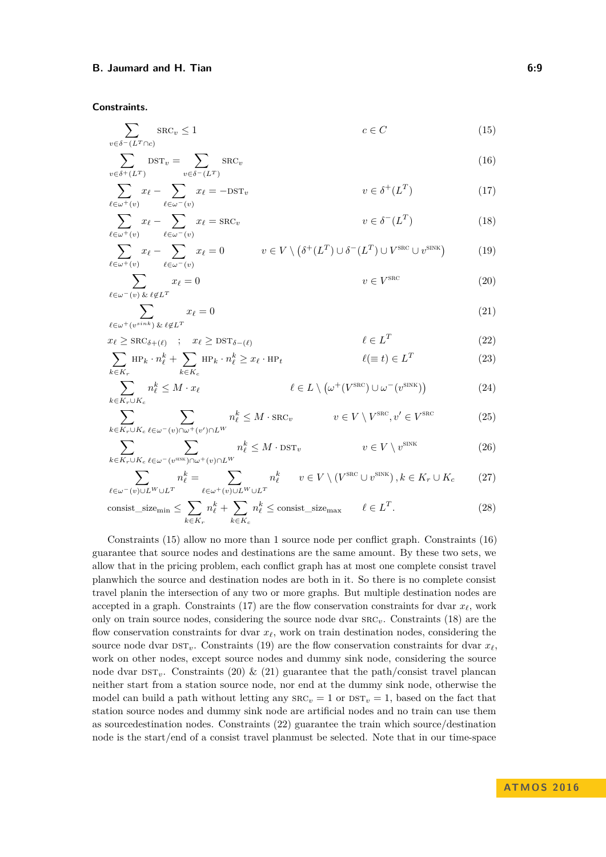**Constraints.**

<span id="page-8-0"></span>
$$
\sum_{v \in \delta^-(L^T \cap c)} \text{src}_v \le 1 \qquad c \in C \tag{15}
$$

<span id="page-8-1"></span>
$$
\sum_{v \in \delta^+(L^T)} \text{DST}_v = \sum_{v \in \delta^-(L^T)} \text{SRC}_v \tag{16}
$$

<span id="page-8-2"></span>
$$
\sum_{\ell \in \omega^+(v)} x_{\ell} - \sum_{\ell \in \omega^-(v)} x_{\ell} = -\text{DST}_v \qquad v \in \delta^+(L^T) \tag{17}
$$

<span id="page-8-4"></span><span id="page-8-3"></span>
$$
\sum_{\ell \in \omega^+(v)} x_{\ell} - \sum_{\ell \in \omega^-(v)} x_{\ell} = \text{SRC}_v \qquad v \in \delta^-(L^T) \tag{18}
$$

$$
\sum_{\ell \in \omega^+(v)} x_{\ell} - \sum_{\ell \in \omega^-(v)} x_{\ell} = 0 \qquad v \in V \setminus (\delta^+(L^T) \cup \delta^-(L^T) \cup V^{\text{SRC}} \cup v^{\text{SINK}})
$$
(19)

<span id="page-8-5"></span>
$$
\sum_{\ell \in \omega^{-}(v) \ \& \ \ell \notin L^{T}} x_{\ell} = 0 \qquad \qquad v \in V^{\text{SRC}} \tag{20}
$$

<span id="page-8-7"></span><span id="page-8-6"></span>
$$
\sum_{\ell \in \omega^+(v^{sink}) \& \ell \notin L^T} x_{\ell} = 0 \tag{21}
$$

$$
x_{\ell} \ge \text{SRC}_{\delta + (\ell)} \quad ; \quad x_{\ell} \ge \text{DST}_{\delta - (\ell)} \qquad \ell \in L^T \tag{22}
$$

<span id="page-8-8"></span>
$$
\sum_{k \in K_r} \text{HP}_k \cdot n_\ell^k + \sum_{k \in K_c} \text{HP}_k \cdot n_\ell^k \ge x_\ell \cdot \text{HP}_t \qquad \ell(\equiv t) \in L^T \tag{23}
$$

<span id="page-8-9"></span>
$$
\sum_{k \in K_r \cup K_c} n_\ell^k \le M \cdot x_\ell \qquad \ell \in L \setminus \left(\omega^+(V^{\text{SRC}}) \cup \omega^-(v^{\text{SINK}})\right) \tag{24}
$$

<span id="page-8-10"></span>
$$
\sum_{k \in K_r \cup K_c} \sum_{\ell \in \omega^-(v) \cap \omega^+(v') \cap L^W} n_\ell^k \le M \cdot \text{SRC}_v \qquad v \in V \setminus V^{\text{SRC}}, v' \in V^{\text{SRC}} \tag{25}
$$

<span id="page-8-11"></span>
$$
\sum_{k \in K_r \cup K_c} \sum_{\ell \in \omega^-(v^{\text{SINK}}) \cap \omega^+(v) \cap L^W} n_{\ell}^k \leq M \cdot \text{DST}_v \qquad v \in V \setminus v^{\text{SINK}} \tag{26}
$$

<span id="page-8-13"></span><span id="page-8-12"></span>
$$
\sum_{\ell \in \omega^{-}(v) \cup L^{W} \cup L^{T}} n_{\ell}^{k} = \sum_{\ell \in \omega^{+}(v) \cup L^{W} \cup L^{T}} n_{\ell}^{k} \qquad v \in V \setminus (V^{\text{SRC}} \cup v^{\text{SINK}}), k \in K_{r} \cup K_{c} \tag{27}
$$

$$
\text{consist\_size}_{\text{min}} \le \sum_{k \in K_r} n_\ell^k + \sum_{k \in K_c} n_\ell^k \le \text{consist\_size}_{\text{max}} \qquad \ell \in L^T. \tag{28}
$$

Constraints [\(15\)](#page-8-0) allow no more than 1 source node per conflict graph. Constraints [\(16\)](#page-8-1) guarantee that source nodes and destinations are the same amount. By these two sets, we allow that in the pricing problem, each conflict graph has at most one complete consist travel planwhich the source and destination nodes are both in it. So there is no complete consist travel planin the intersection of any two or more graphs. But multiple destination nodes are accepted in a graph. Constraints [\(17\)](#page-8-2) are the flow conservation constraints for dvar  $x_\ell$ , work only on train source nodes, considering the source node dvar src*v*. Constraints [\(18\)](#page-8-3) are the flow conservation constraints for dvar  $x_\ell$ , work on train destination nodes, considering the source node dvar  $DST_v$ . Constraints [\(19\)](#page-8-4) are the flow conservation constraints for dvar  $x_\ell$ , work on other nodes, except source nodes and dummy sink node, considering the source node dvar  $\text{DST}_v$ . Constraints [\(20\)](#page-8-5) & [\(21\)](#page-8-6) guarantee that the path/consist travel plancan neither start from a station source node, nor end at the dummy sink node, otherwise the model can build a path without letting any  $\text{SRC}_v = 1$  or  $\text{DST}_v = 1$ , based on the fact that station source nodes and dummy sink node are artificial nodes and no train can use them as sourcedestination nodes. Constraints [\(22\)](#page-8-7) guarantee the train which source/destination node is the start/end of a consist travel planmust be selected. Note that in our time-space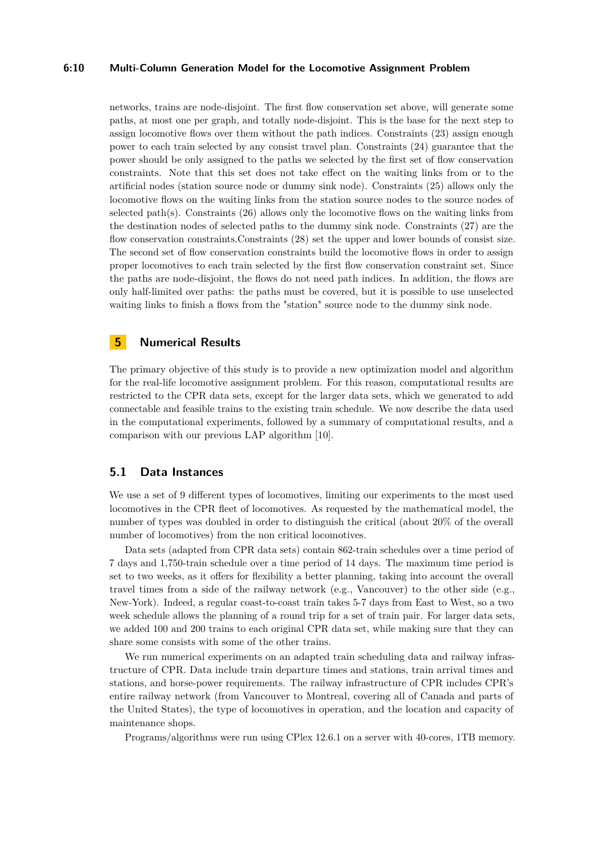### **6:10 Multi-Column Generation Model for the Locomotive Assignment Problem**

networks, trains are node-disjoint. The first flow conservation set above, will generate some paths, at most one per graph, and totally node-disjoint. This is the base for the next step to assign locomotive flows over them without the path indices. Constraints [\(23\)](#page-8-8) assign enough power to each train selected by any consist travel plan. Constraints [\(24\)](#page-8-9) guarantee that the power should be only assigned to the paths we selected by the first set of flow conservation constraints. Note that this set does not take effect on the waiting links from or to the artificial nodes (station source node or dummy sink node). Constraints [\(25\)](#page-8-10) allows only the locomotive flows on the waiting links from the station source nodes to the source nodes of selected path(s). Constraints [\(26\)](#page-8-11) allows only the locomotive flows on the waiting links from the destination nodes of selected paths to the dummy sink node. Constraints [\(27\)](#page-8-12) are the flow conservation constraints.Constraints [\(28\)](#page-8-13) set the upper and lower bounds of consist size. The second set of flow conservation constraints build the locomotive flows in order to assign proper locomotives to each train selected by the first flow conservation constraint set. Since the paths are node-disjoint, the flows do not need path indices. In addition, the flows are only half-limited over paths: the paths must be covered, but it is possible to use unselected waiting links to finish a flows from the "station" source node to the dummy sink node.

### <span id="page-9-0"></span>**5 Numerical Results**

The primary objective of this study is to provide a new optimization model and algorithm for the real-life locomotive assignment problem. For this reason, computational results are restricted to the CPR data sets, except for the larger data sets, which we generated to add connectable and feasible trains to the existing train schedule. We now describe the data used in the computational experiments, followed by a summary of computational results, and a comparison with our previous LAP algorithm [\[10\]](#page-12-6).

# **5.1 Data Instances**

We use a set of 9 different types of locomotives, limiting our experiments to the most used locomotives in the CPR fleet of locomotives. As requested by the mathematical model, the number of types was doubled in order to distinguish the critical (about 20% of the overall number of locomotives) from the non critical locomotives.

Data sets (adapted from CPR data sets) contain 862-train schedules over a time period of 7 days and 1,750-train schedule over a time period of 14 days. The maximum time period is set to two weeks, as it offers for flexibility a better planning, taking into account the overall travel times from a side of the railway network (e.g., Vancouver) to the other side (e.g., New-York). Indeed, a regular coast-to-coast train takes 5-7 days from East to West, so a two week schedule allows the planning of a round trip for a set of train pair. For larger data sets, we added 100 and 200 trains to each original CPR data set, while making sure that they can share some consists with some of the other trains.

We run numerical experiments on an adapted train scheduling data and railway infrastructure of CPR. Data include train departure times and stations, train arrival times and stations, and horse-power requirements. The railway infrastructure of CPR includes CPR's entire railway network (from Vancouver to Montreal, covering all of Canada and parts of the United States), the type of locomotives in operation, and the location and capacity of maintenance shops.

Programs/algorithms were run using CPlex 12.6.1 on a server with 40-cores, 1TB memory.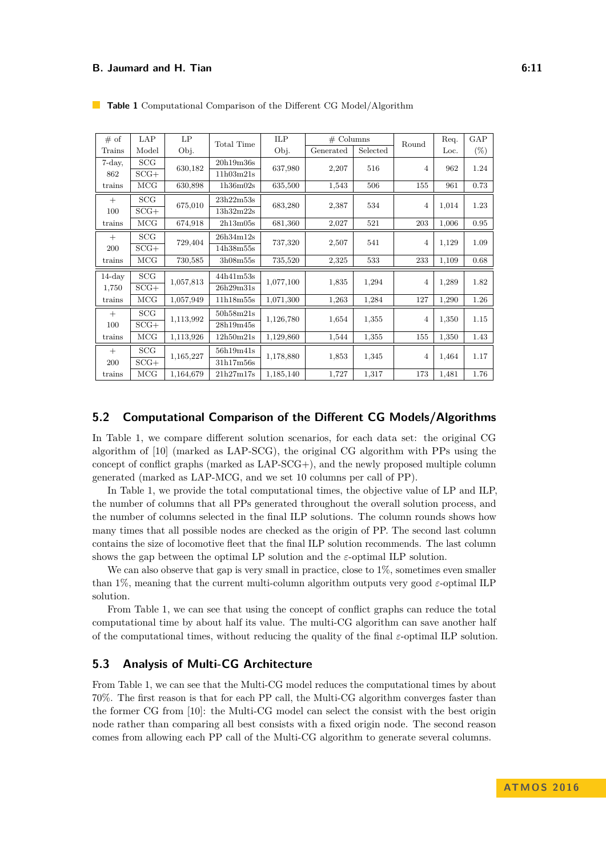| # of      | LAP    | LP<br>Obj. | <b>Total Time</b> | <b>ILP</b> | $#$ Columns |          | Round          | Req.  | GAP    |
|-----------|--------|------------|-------------------|------------|-------------|----------|----------------|-------|--------|
| Trains    | Model  |            |                   | Obj.       | Generated   | Selected |                | Loc.  | $(\%)$ |
| 7-day,    | SCG    | 630,182    | 20h19m36s         | 637,980    | 2,207       | 516      | 4              | 962   | 1.24   |
| 862       | $SCG+$ |            | 11h03m21s         |            |             |          |                |       |        |
| trains    | MCG    | 630,898    | 1h36m02s          | 635,500    | 1,543       | 506      | 155            | 961   | 0.73   |
| $^{+}$    | SCG    | 675,010    | 23h22m53s         | 683,280    | 2,387       | 534      | $\overline{4}$ | 1,014 | 1.23   |
| 100       | $SCG+$ |            | 13h32m22s         |            |             |          |                |       |        |
| trains    | MCG    | 674,918    | 2h13m05s          | 681,360    | 2,027       | 521      | 203            | 1,006 | 0.95   |
| $^{+}$    | SCG    | 729,404    | 26h34m12s         | 737,320    | 2,507       | 541      | $\overline{4}$ | 1,129 | 1.09   |
| 200       | $SCG+$ |            | 14h38m55s         |            |             |          |                |       |        |
| trains    | MCG    | 730,585    | 3h08m55s          | 735,520    | 2,325       | 533      | 233            | 1,109 | 0.68   |
| $14$ -day | SCG    | 1,057,813  | 44h41m53s         | 1,077,100  | 1,835       | 1,294    | 4              | 1,289 | 1.82   |
| 1,750     | $SCG+$ |            | 26h29m31s         |            |             |          |                |       |        |
| trains    | MCG    | 1,057,949  | 11h18m55s         | 1,071,300  | 1,263       | 1,284    | 127            | 1,290 | 1.26   |
| $^{+}$    | SCG    | 1,113,992  | 50h58m21s         | 1,126,780  | 1,654       | 1,355    | 4              | 1,350 | 1.15   |
| 100       | $SCG+$ |            | 28h19m45s         |            |             |          |                |       |        |
| trains    | MCG    | 1,113,926  | 12h50m21s         | 1,129,860  | 1,544       | 1,355    | 155            | 1,350 | 1.43   |
| $+$       | SCG    | 1,165,227  | 56h19m41s         | 1,178,880  | 1,853       | 1,345    | 4              | 1,464 | 1.17   |
| 200       | $SCG+$ |            | 31h17m56s         |            |             |          |                |       |        |
| trains    | MCG    | 1,164,679  | 21h27m17s         | 1,185,140  | 1,727       | 1,317    | 173            | 1,481 | 1.76   |

<span id="page-10-1"></span>**Table 1** Computational Comparison of the Different CG Model/Algorithm

### <span id="page-10-0"></span>**5.2 Computational Comparison of the Different CG Models/Algorithms**

In Table [1,](#page-10-1) we compare different solution scenarios, for each data set: the original CG algorithm of [\[10\]](#page-12-6) (marked as LAP-SCG), the original CG algorithm with PPs using the concept of conflict graphs (marked as LAP-SCG+), and the newly proposed multiple column generated (marked as LAP-MCG, and we set 10 columns per call of PP).

In Table [1,](#page-10-1) we provide the total computational times, the objective value of LP and ILP, the number of columns that all PPs generated throughout the overall solution process, and the number of columns selected in the final ILP solutions. The column rounds shows how many times that all possible nodes are checked as the origin of PP. The second last column contains the size of locomotive fleet that the final ILP solution recommends. The last column shows the gap between the optimal LP solution and the  $\varepsilon$ -optimal ILP solution.

We can also observe that gap is very small in practice, close to  $1\%$ , sometimes even smaller than 1%, meaning that the current multi-column algorithm outputs very good  $\varepsilon$ -optimal ILP solution.

From Table [1,](#page-10-1) we can see that using the concept of conflict graphs can reduce the total computational time by about half its value. The multi-CG algorithm can save another half of the computational times, without reducing the quality of the final *ε*-optimal ILP solution.

# **5.3 Analysis of Multi-CG Architecture**

From Table [1,](#page-10-1) we can see that the Multi-CG model reduces the computational times by about 70%. The first reason is that for each PP call, the Multi-CG algorithm converges faster than the former CG from [\[10\]](#page-12-6): the Multi-CG model can select the consist with the best origin node rather than comparing all best consists with a fixed origin node. The second reason comes from allowing each PP call of the Multi-CG algorithm to generate several columns.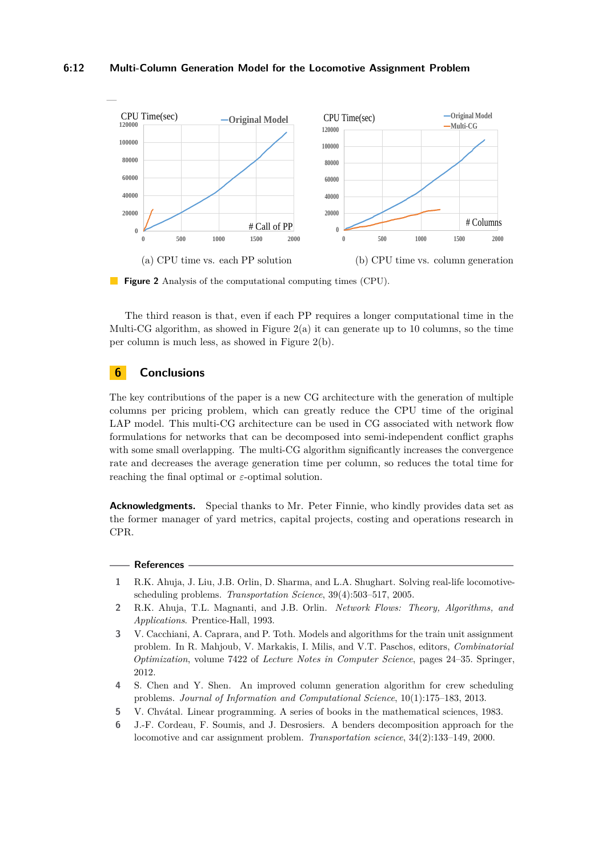### **6:12 Multi-Column Generation Model for the Locomotive Assignment Problem**

<span id="page-11-6"></span>



The third reason is that, even if each PP requires a longer computational time in the Multi-CG algorithm, as showed in Figure [2\(](#page-11-6)a) it can generate up to 10 columns, so the time per column is much less, as showed in Figure [2\(](#page-11-6)b).

# **6 Conclusions**

The key contributions of the paper is a new CG architecture with the generation of multiple columns per pricing problem, which can greatly reduce the CPU time of the original LAP model. This multi-CG architecture can be used in CG associated with network flow formulations for networks that can be decomposed into semi-independent conflict graphs with some small overlapping. The multi-CG algorithm significantly increases the convergence rate and decreases the average generation time per column, so reduces the total time for reaching the final optimal or *ε*-optimal solution.

**Acknowledgments.** Special thanks to Mr. Peter Finnie, who kindly provides data set as the former manager of yard metrics, capital projects, costing and operations research in CPR.

#### **References**

- <span id="page-11-0"></span>**1** R.K. Ahuja, J. Liu, J.B. Orlin, D. Sharma, and L.A. Shughart. Solving real-life locomotivescheduling problems. *Transportation Science*, 39(4):503–517, 2005.
- <span id="page-11-1"></span>**2** R.K. Ahuja, T.L. Magnanti, and J.B. Orlin. *Network Flows: Theory, Algorithms, and Applications*. Prentice-Hall, 1993.
- <span id="page-11-3"></span>**3** V. Cacchiani, A. Caprara, and P. Toth. Models and algorithms for the train unit assignment problem. In R. Mahjoub, V. Markakis, I. Milis, and V.T. Paschos, editors, *Combinatorial Optimization*, volume 7422 of *Lecture Notes in Computer Science*, pages 24–35. Springer, 2012.
- <span id="page-11-4"></span>**4** S. Chen and Y. Shen. An improved column generation algorithm for crew scheduling problems. *Journal of Information and Computational Science*, 10(1):175–183, 2013.
- <span id="page-11-5"></span>**5** V. Chvátal. Linear programming. A series of books in the mathematical sciences, 1983.
- <span id="page-11-2"></span>**6** J.-F. Cordeau, F. Soumis, and J. Desrosiers. A benders decomposition approach for the locomotive and car assignment problem. *Transportation science*, 34(2):133–149, 2000.